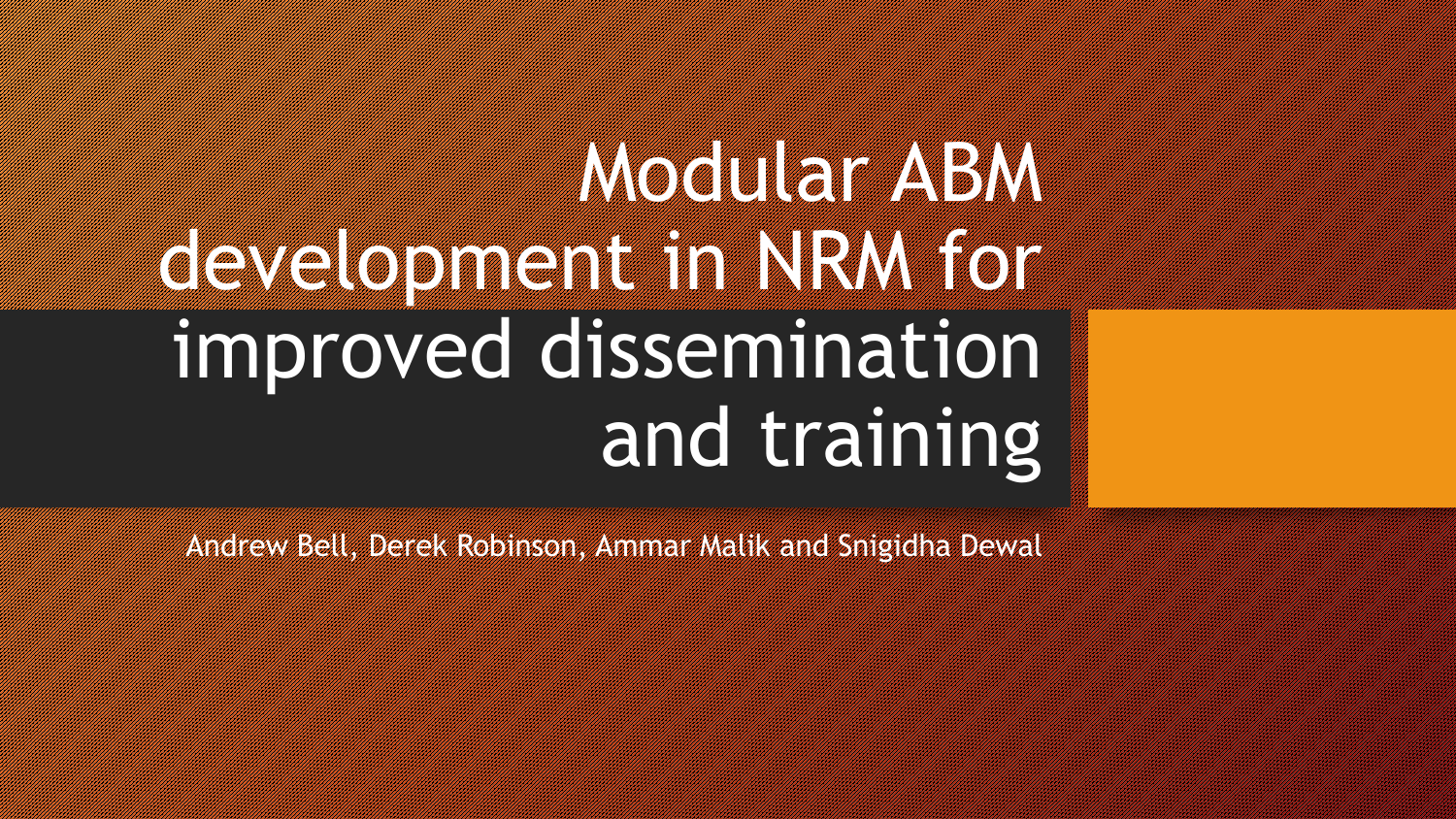# **Modular ABM** development in NRM for the United States of the United States of the United States of the United States of the improved dissemination and training

Andrew Bell, Derek Robinson, Ammar Malik and Snigidha Dewal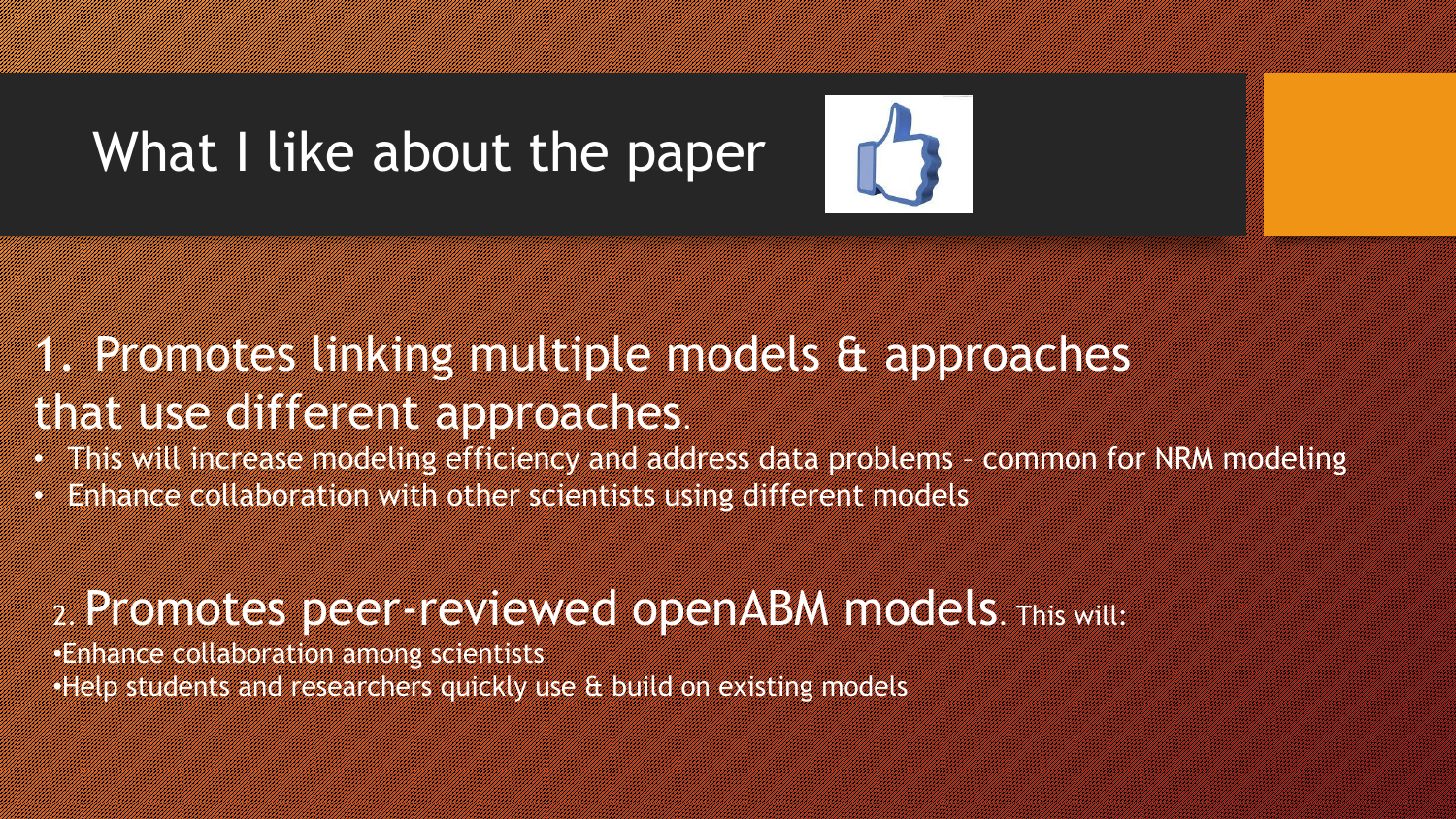# What I like about the paper

## 1. Promotes linking multiple models avais de deux d that use of the use of the use of the second states.

- This will increase modeling efficiency and address data problems common for NRM modeling
- Enhance collaboration with other scientists using different models

#### 2. Promotes peer-reviewed openABM models. This will:

•Enhance collaboration among scientists •Help students and researchers quickly use & build on existing models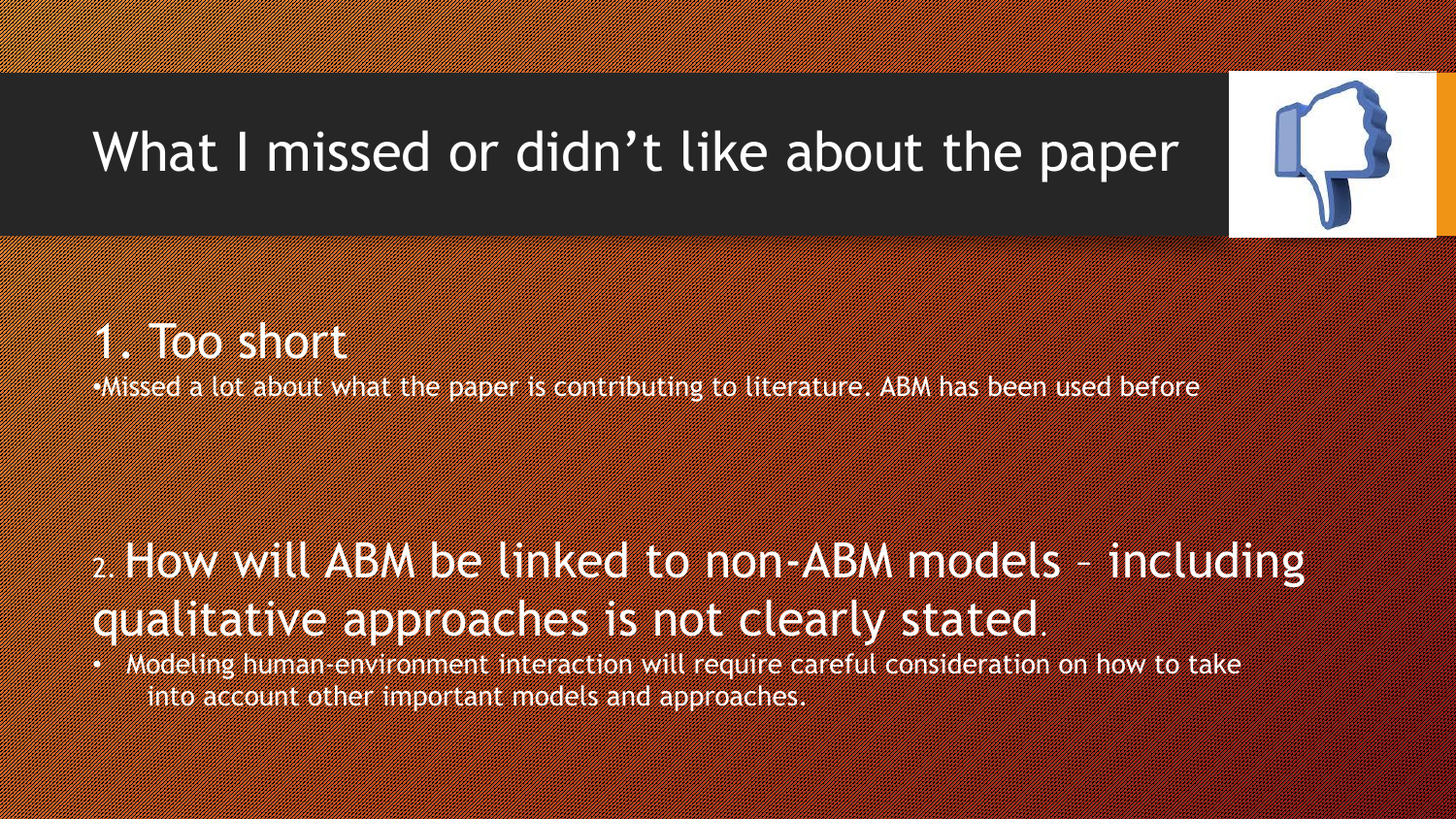# What I missed or didn't like about the paper



•Missed a lot about what the paper is contributing to literature. ABM has been used before

#### 2. How will ABM be linked to non-ABM models – including qualitative approaches is not clearly stated.

• Modeling human-environment interaction will require careful consideration on how to take into account other important models and approaches.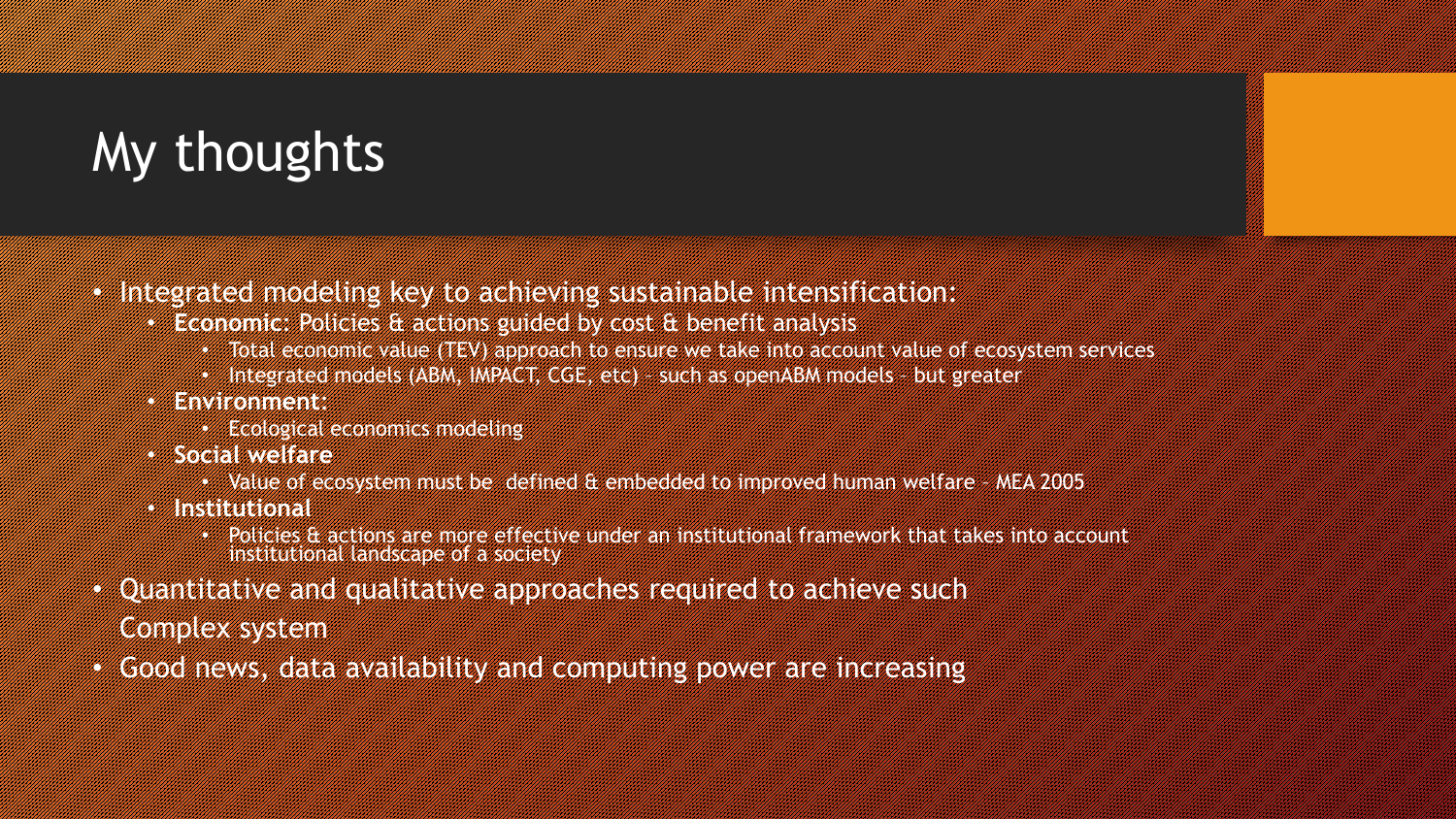# My thoughts

- Integrated modeling key to achieving sustainable intensification:
	- **Economic**: Policies & actions guided by cost & benefit analysis
		- Total economic value (TEV) approach to ensure we take into account value of ecosystem services
		- Integrated models (ABM, IMPACT, CGE, etc) such as openABM models but greater
	- **Environment**:
		- Ecological economics modeling
	- **Social welfare**
		- Value of ecosystem must be defined & embedded to improved human welfare MEA 2005
	- **Institutional**
		- Policies & actions are more effective under an institutional framework that takes into account institutional landscape of a society
- Quantitative and qualitative approaches required to achieve such Complex system
- Good news, data availability and computing power are increasing